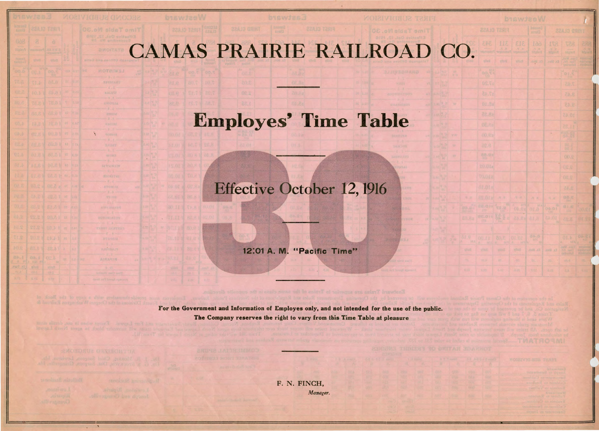## CAMAS PRAIRIE RAILROAD CC

08.8

|                                | <b>b</b> iswizeW<br>ł  |                   |               |                                                                  |                           |                  |                     |  |  |  |  |  |  |  |  |
|--------------------------------|------------------------|-------------------|---------------|------------------------------------------------------------------|---------------------------|------------------|---------------------|--|--|--|--|--|--|--|--|
|                                |                        | FIRST DLASS       |               | <b>Depart</b><br>azutā                                           |                           | THIRD CLASS      |                     |  |  |  |  |  |  |  |  |
|                                | 343                    | LIE               | 313           | 199<br>$\frac{\partial}{\partial u} \frac{\partial}{\partial v}$ | 178<br>ilaint             | 758<br>Malan     | 688<br><b>Haven</b> |  |  |  |  |  |  |  |  |
|                                | <b>VERU</b>            | <b>ROOM</b>       | <b>ARAS</b>   | <b>CC Hoo</b> .                                                  | Ex. Men.                  |                  | 199                 |  |  |  |  |  |  |  |  |
|                                | 00.54                  |                   |               |                                                                  |                           | 1015             |                     |  |  |  |  |  |  |  |  |
|                                | DS.Ta                  |                   |               |                                                                  |                           | 7.45             |                     |  |  |  |  |  |  |  |  |
|                                | 37.45                  |                   |               |                                                                  |                           | 8.45             |                     |  |  |  |  |  |  |  |  |
|                                | 01.38                  |                   |               |                                                                  |                           | 2.03             |                     |  |  |  |  |  |  |  |  |
|                                | 8.8.35                 |                   |               |                                                                  |                           | 24.01            |                     |  |  |  |  |  |  |  |  |
|                                | 05.89                  |                   |               |                                                                  |                           | 11,25            |                     |  |  |  |  |  |  |  |  |
|                                | 00.88                  |                   |               |                                                                  |                           | 28.8             |                     |  |  |  |  |  |  |  |  |
|                                | 8.25                   |                   |               |                                                                  |                           | 號                |                     |  |  |  |  |  |  |  |  |
|                                | 88.96                  |                   |               |                                                                  |                           | 00.8             |                     |  |  |  |  |  |  |  |  |
|                                | \$0.01s                |                   |               |                                                                  |                           | 02.8             |                     |  |  |  |  |  |  |  |  |
|                                | <b>TOLOGE</b>          |                   |               |                                                                  |                           | 08,8             |                     |  |  |  |  |  |  |  |  |
|                                | 81.01e                 |                   |               |                                                                  |                           | 04.8             |                     |  |  |  |  |  |  |  |  |
| $1 - 7$<br>5.87                | 85.01日<br><b>EE.Q1</b> | 大世                | (1, 0)<br>365 | 万片<br>14.1                                                       | $\mathcal{H},\mathcal{R}$ |                  |                     |  |  |  |  |  |  |  |  |
|                                | <b>BE 813</b>          | <b>TO.C</b><br>股: | 00.92         | 01.8                                                             | 00.01                     | 制度               | 30.91               |  |  |  |  |  |  |  |  |
| n.Ba                           |                        |                   | 89.08         | 8.15                                                             | 引.45                      | <b>CX. 6</b>     | 01.23               |  |  |  |  |  |  |  |  |
| $\overline{10}$                | 00.11                  | 30.8              | 01.01         | 84.5                                                             |                           | 4.10             | 04.81               |  |  |  |  |  |  |  |  |
| $M(\mathbb{R})$<br><b>Dail</b> | h.<br>$-30$<br>VING.   |                   | nRnG          |                                                                  |                           | <b>MAR</b><br>A. |                     |  |  |  |  |  |  |  |  |
|                                |                        | <b>WASHE</b>      |               | f.s. Man.                                                        | $100 - 32$                | Well             | reitin<br>Biskis    |  |  |  |  |  |  |  |  |
|                                | $\frac{1}{2}$          | ×<br>LAI .        | 0.35          | b.<br>377                                                        | zó.<br>6.01               | un e             | 注                   |  |  |  |  |  |  |  |  |
|                                |                        |                   |               |                                                                  |                           | ka.              |                     |  |  |  |  |  |  |  |  |

| the shift in a world<br>и | л           | <b>MOJELVIC-SUB-TREFT</b>                        |  |
|---------------------------|-------------|--------------------------------------------------|--|
| <b>OF</b>                 | <b>UGC</b>  | <b>Linkwithed</b><br>Joseph En Salesmann         |  |
| <b>198.8</b>              | <b>TAXA</b> | Seconda 3 of Interthouse                         |  |
| <b>THAN</b>               | 1077        | Column to Baulusa                                |  |
| 99.57                     | na v        | tamlia's ar macunit                              |  |
| <b>DOM:</b>               | $(3.5 + 1)$ | To Concert 3 Drive Mill<br>advolutor at sample V |  |
|                           |             | Complete of the security                         |  |
|                           |             | alling at our chio's                             |  |
|                           |             | <b>NISSELL OF STEWHERE</b>                       |  |

## Employes' Time Table

## Effective October 12, 1916

12:01 A. M. "Pacific Time"

**REVENUE** 

第14,347

48/3/83

**ROINATH** 

**LIGHBAN** 

For the Government and Information of Employes only, and not intended for the use of the public. The Company reserves the right to vary from this Time Table at pleasure

F. N. FINCH, *Manager.*